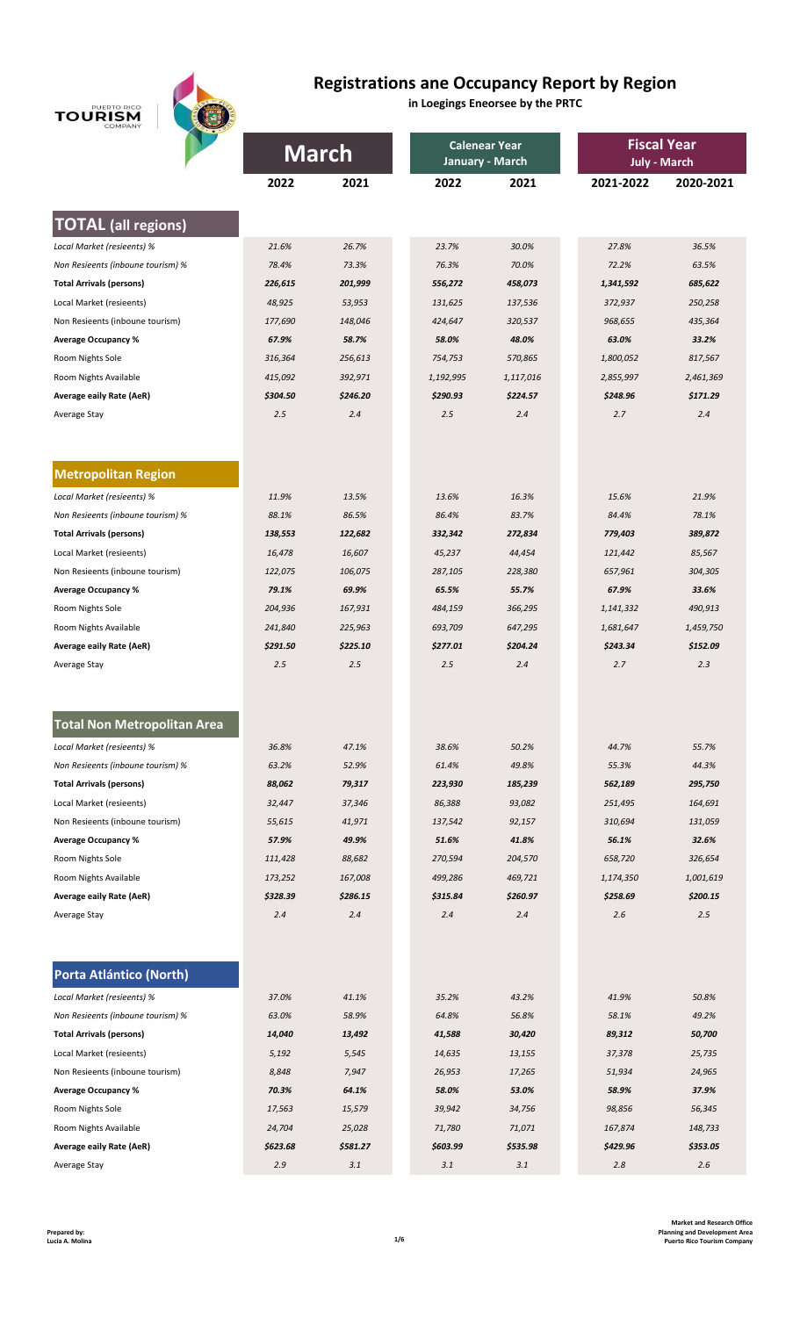**TOURISM** 

## **Registrations ane Occupancy Report by Region**

**in Loegings Eneorsee by the PRTC**

| COMPANY                            | <b>March</b> |          |           | <b>Calenear Year</b><br>January - March | <b>Fiscal Year</b><br><b>July - March</b> |           |
|------------------------------------|--------------|----------|-----------|-----------------------------------------|-------------------------------------------|-----------|
|                                    | 2022         | 2021     | 2022      | 2021                                    | 2021-2022                                 | 2020-2021 |
|                                    |              |          |           |                                         |                                           |           |
| <b>TOTAL (all regions)</b>         |              |          |           |                                         |                                           |           |
| Local Market (resieents) %         | 21.6%        | 26.7%    | 23.7%     | 30.0%                                   | 27.8%                                     | 36.5%     |
| Non Resieents (inboune tourism) %  | 78.4%        | 73.3%    | 76.3%     | 70.0%                                   | 72.2%                                     | 63.5%     |
| <b>Total Arrivals (persons)</b>    | 226,615      | 201,999  | 556,272   | 458,073                                 | 1,341,592                                 | 685,622   |
| Local Market (resieents)           | 48,925       | 53,953   | 131,625   | 137,536                                 | 372,937                                   | 250,258   |
| Non Resieents (inboune tourism)    | 177,690      | 148,046  | 424,647   | 320,537                                 | 968,655                                   | 435,364   |
| <b>Average Occupancy %</b>         | 67.9%        | 58.7%    | 58.0%     | 48.0%                                   | 63.0%                                     | 33.2%     |
| Room Nights Sole                   | 316,364      | 256,613  | 754,753   | 570,865                                 | 1,800,052                                 | 817,567   |
| Room Nights Available              | 415,092      | 392,971  | 1,192,995 | 1,117,016                               | 2,855,997                                 | 2,461,369 |
| Average eaily Rate (AeR)           | \$304.50     | \$246.20 | \$290.93  | \$224.57                                | \$248.96                                  | \$171.29  |
| Average Stay                       | 2.5          | 2.4      | 2.5       | 2.4                                     | 2.7                                       | 2.4       |
| <b>Metropolitan Region</b>         |              |          |           |                                         |                                           |           |
|                                    |              |          |           |                                         |                                           |           |
| Local Market (resieents) %         | 11.9%        | 13.5%    | 13.6%     | 16.3%                                   | 15.6%                                     | 21.9%     |
| Non Resieents (inboune tourism) %  | 88.1%        | 86.5%    | 86.4%     | 83.7%                                   | 84.4%                                     | 78.1%     |
| <b>Total Arrivals (persons)</b>    | 138,553      | 122,682  | 332,342   | 272,834                                 | 779,403                                   | 389,872   |
| Local Market (resieents)           | 16,478       | 16,607   | 45,237    | 44,454                                  | 121,442                                   | 85,567    |
| Non Resieents (inboune tourism)    | 122,075      | 106,075  | 287,105   | 228,380                                 | 657,961                                   | 304,305   |
| <b>Average Occupancy %</b>         | 79.1%        | 69.9%    | 65.5%     | 55.7%                                   | 67.9%                                     | 33.6%     |
| Room Nights Sole                   | 204,936      | 167,931  | 484,159   | 366,295                                 | 1,141,332                                 | 490,913   |
| Room Nights Available              | 241,840      | 225,963  | 693,709   | 647,295                                 | 1,681,647                                 | 1,459,750 |
| Average eaily Rate (AeR)           | \$291.50     | \$225.10 | \$277.01  | \$204.24                                | \$243.34                                  | \$152.09  |
| Average Stay                       | 2.5          | 2.5      | 2.5       | 2.4                                     | 2.7                                       | 2.3       |
| <b>Total Non Metropolitan Area</b> |              |          |           |                                         |                                           |           |
| Local Market (resieents) %         | 36.8%        |          |           | 50.2%                                   |                                           | 55.7%     |
| Non Resieents (inboune tourism) %  |              | 47.1%    | 38.6%     |                                         | 44.7%                                     |           |
|                                    | 63.2%        | 52.9%    | 61.4%     | 49.8%                                   | 55.3%                                     | 44.3%     |
| <b>Total Arrivals (persons)</b>    | 88,062       | 79,317   | 223,930   | 185,239                                 | 562,189                                   | 295,750   |
| Local Market (resieents)           | 32,447       | 37,346   | 86,388    | 93,082                                  | 251,495                                   | 164,691   |
| Non Resieents (inboune tourism)    | 55,615       | 41,971   | 137,542   | 92,157                                  | 310,694                                   | 131,059   |
| <b>Average Occupancy %</b>         | 57.9%        | 49.9%    | 51.6%     | 41.8%                                   | 56.1%                                     | 32.6%     |
| Room Nights Sole                   | 111,428      | 88,682   | 270,594   | 204,570                                 | 658,720                                   | 326,654   |
| Room Nights Available              | 173,252      | 167,008  | 499,286   | 469,721                                 | 1,174,350                                 | 1,001,619 |
| Average eaily Rate (AeR)           | \$328.39     | \$286.15 | \$315.84  | \$260.97                                | \$258.69                                  | \$200.15  |
| Average Stay                       | 2.4          | 2.4      | 2.4       | 2.4                                     | 2.6                                       | 2.5       |
| Porta Atlántico (North)            |              |          |           |                                         |                                           |           |
| Local Market (resieents) %         | 37.0%        | 41.1%    | 35.2%     | 43.2%                                   | 41.9%                                     | 50.8%     |
| Non Resieents (inboune tourism) %  | 63.0%        | 58.9%    | 64.8%     | 56.8%                                   | 58.1%                                     | 49.2%     |
| <b>Total Arrivals (persons)</b>    | 14,040       | 13,492   | 41,588    | 30,420                                  | 89,312                                    | 50,700    |
| Local Market (resieents)           | 5,192        | 5,545    | 14,635    | 13,155                                  | 37,378                                    | 25,735    |
| Non Resieents (inboune tourism)    | 8,848        | 7,947    | 26,953    | 17,265                                  | 51,934                                    | 24,965    |
| <b>Average Occupancy %</b>         | 70.3%        | 64.1%    | 58.0%     | 53.0%                                   | 58.9%                                     | 37.9%     |
| Room Nights Sole                   | 17,563       | 15,579   | 39,942    | 34,756                                  | 98,856                                    | 56,345    |
| Room Nights Available              | 24,704       | 25,028   | 71,780    | 71,071                                  | 167,874                                   | 148,733   |
| <b>Average eaily Rate (AeR)</b>    | \$623.68     | \$581.27 | \$603.99  | \$535.98                                | \$429.96                                  | \$353.05  |
| Average Stay                       | 2.9          | 3.1      | 3.1       | 3.1                                     | 2.8                                       | 2.6       |
|                                    |              |          |           |                                         |                                           |           |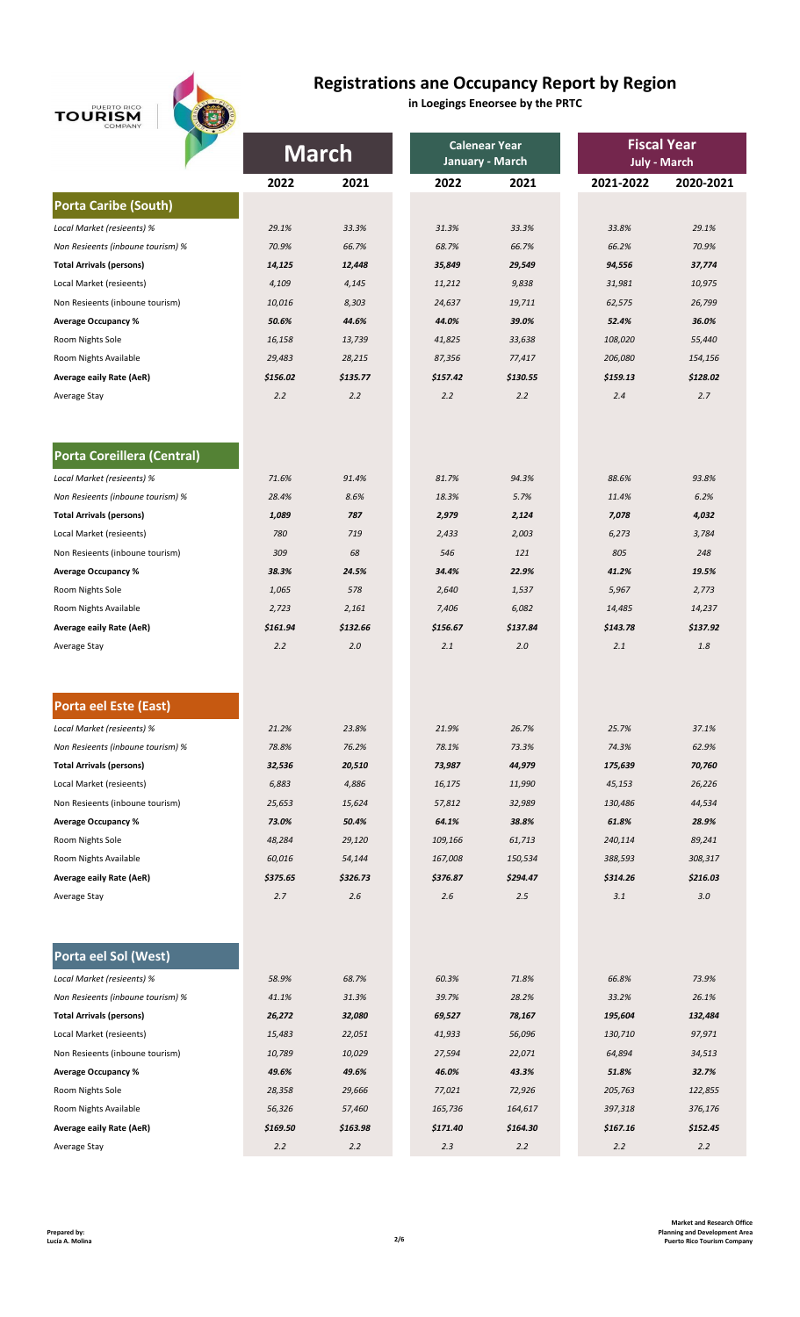# **TOURISM**



## **Registrations ane Occupancy Report by Region**

**in Loegings Eneorsee by the PRTC**

|                                   | <b>March</b> |          |          | <b>Calenear Year</b> | <b>Fiscal Year</b>  |           |  |
|-----------------------------------|--------------|----------|----------|----------------------|---------------------|-----------|--|
|                                   |              |          |          | January - March      | <b>July - March</b> |           |  |
|                                   | 2022         | 2021     | 2022     | 2021                 | 2021-2022           | 2020-2021 |  |
| <b>Porta Caribe (South)</b>       |              |          |          |                      |                     |           |  |
| Local Market (resieents) %        | 29.1%        | 33.3%    | 31.3%    | 33.3%                | 33.8%               | 29.1%     |  |
| Non Resieents (inboune tourism) % | 70.9%        | 66.7%    | 68.7%    | 66.7%                | 66.2%               | 70.9%     |  |
| <b>Total Arrivals (persons)</b>   | 14,125       | 12,448   | 35,849   | 29,549               | 94,556              | 37,774    |  |
| Local Market (resieents)          | 4,109        | 4,145    | 11,212   | 9,838                | 31,981              | 10,975    |  |
| Non Resieents (inboune tourism)   | 10,016       | 8,303    | 24,637   | 19,711               | 62,575              | 26,799    |  |
| <b>Average Occupancy %</b>        | 50.6%        | 44.6%    | 44.0%    | 39.0%                | 52.4%               | 36.0%     |  |
| Room Nights Sole                  | 16,158       | 13,739   | 41,825   | 33,638               | 108,020             | 55,440    |  |
| Room Nights Available             | 29,483       | 28,215   | 87,356   | 77,417               | 206,080             | 154,156   |  |
| Average eaily Rate (AeR)          | \$156.02     | \$135.77 | \$157.42 | \$130.55             | \$159.13            | \$128.02  |  |
| Average Stay                      | 2.2          | 2.2      | 2.2      | 2.2                  | 2.4                 | 2.7       |  |
|                                   |              |          |          |                      |                     |           |  |
| Porta Coreillera (Central)        |              |          |          |                      |                     |           |  |
| Local Market (resieents) %        | 71.6%        | 91.4%    | 81.7%    | 94.3%                | 88.6%               | 93.8%     |  |
| Non Resieents (inboune tourism) % | 28.4%        | 8.6%     | 18.3%    | 5.7%                 | 11.4%               | 6.2%      |  |
| <b>Total Arrivals (persons)</b>   | 1,089        | 787      | 2,979    | 2,124                | 7,078               | 4,032     |  |
| Local Market (resieents)          | 780          | 719      | 2,433    | 2,003                | 6,273               | 3,784     |  |
| Non Resieents (inboune tourism)   | 309          | 68       | 546      | 121                  | 805                 | 248       |  |
| <b>Average Occupancy %</b>        | 38.3%        | 24.5%    | 34.4%    | 22.9%                | 41.2%               | 19.5%     |  |
| Room Nights Sole                  | 1,065        | 578      | 2,640    | 1,537                | 5,967               | 2,773     |  |
| Room Nights Available             | 2,723        | 2,161    | 7,406    | 6,082                | 14,485              | 14,237    |  |
| Average eaily Rate (AeR)          | \$161.94     | \$132.66 | \$156.67 | \$137.84             | \$143.78            | \$137.92  |  |
| Average Stay                      | 2.2          | 2.0      | 2.1      | 2.0                  | 2.1                 | $1.8\,$   |  |
|                                   |              |          |          |                      |                     |           |  |
| Porta eel Este (East)             |              |          |          |                      |                     |           |  |
| Local Market (resieents) %        | 21.2%        | 23.8%    | 21.9%    | 26.7%                | 25.7%               | 37.1%     |  |
| Non Resieents (inboune tourism) % | 78.8%        | 76.2%    | 78.1%    | 73.3%                | 74.3%               | 62.9%     |  |
| <b>Total Arrivals (persons)</b>   | 32,536       | 20,510   | 73,987   | 44,979               | 175,639             | 70,760    |  |
| Local Market (resieents)          | 6,883        | 4,886    | 16,175   | 11,990               | 45,153              | 26,226    |  |
| Non Resieents (inboune tourism)   | 25,653       | 15,624   | 57,812   | 32,989               | 130,486             | 44,534    |  |
| <b>Average Occupancy %</b>        | 73.0%        | 50.4%    | 64.1%    | 38.8%                | 61.8%               | 28.9%     |  |
| Room Nights Sole                  | 48,284       | 29,120   | 109,166  | 61,713               | 240,114             | 89,241    |  |
| Room Nights Available             | 60,016       | 54,144   | 167,008  | 150,534              | 388,593             | 308,317   |  |
| Average eaily Rate (AeR)          | \$375.65     | \$326.73 | \$376.87 | \$294.47             | \$314.26            | \$216.03  |  |
| Average Stay                      | 2.7          | 2.6      | 2.6      | 2.5                  | 3.1                 | 3.0       |  |
|                                   |              |          |          |                      |                     |           |  |
| Porta eel Sol (West)              |              |          |          |                      |                     |           |  |
| Local Market (resieents) %        | 58.9%        | 68.7%    | 60.3%    | 71.8%                | 66.8%               | 73.9%     |  |
| Non Resieents (inboune tourism) % | 41.1%        | 31.3%    | 39.7%    | 28.2%                | 33.2%               | 26.1%     |  |
| <b>Total Arrivals (persons)</b>   | 26,272       | 32,080   | 69,527   | 78,167               | 195,604             | 132,484   |  |
| Local Market (resieents)          | 15,483       | 22,051   | 41,933   | 56,096               | 130,710             | 97,971    |  |
| Non Resieents (inboune tourism)   | 10,789       | 10,029   | 27,594   | 22,071               | 64,894              | 34,513    |  |
| <b>Average Occupancy %</b>        | 49.6%        | 49.6%    | 46.0%    | 43.3%                | 51.8%               | 32.7%     |  |
| Room Nights Sole                  | 28,358       | 29,666   | 77,021   | 72,926               | 205,763             | 122,855   |  |
| Room Nights Available             | 56,326       | 57,460   | 165,736  | 164,617              | 397,318             | 376,176   |  |
| <b>Average eaily Rate (AeR)</b>   | \$169.50     | \$163.98 | \$171.40 | \$164.30             | \$167.16            | \$152.45  |  |
| Average Stay                      | 2.2          | 2.2      | 2.3      | 2.2                  | 2.2                 | 2.2       |  |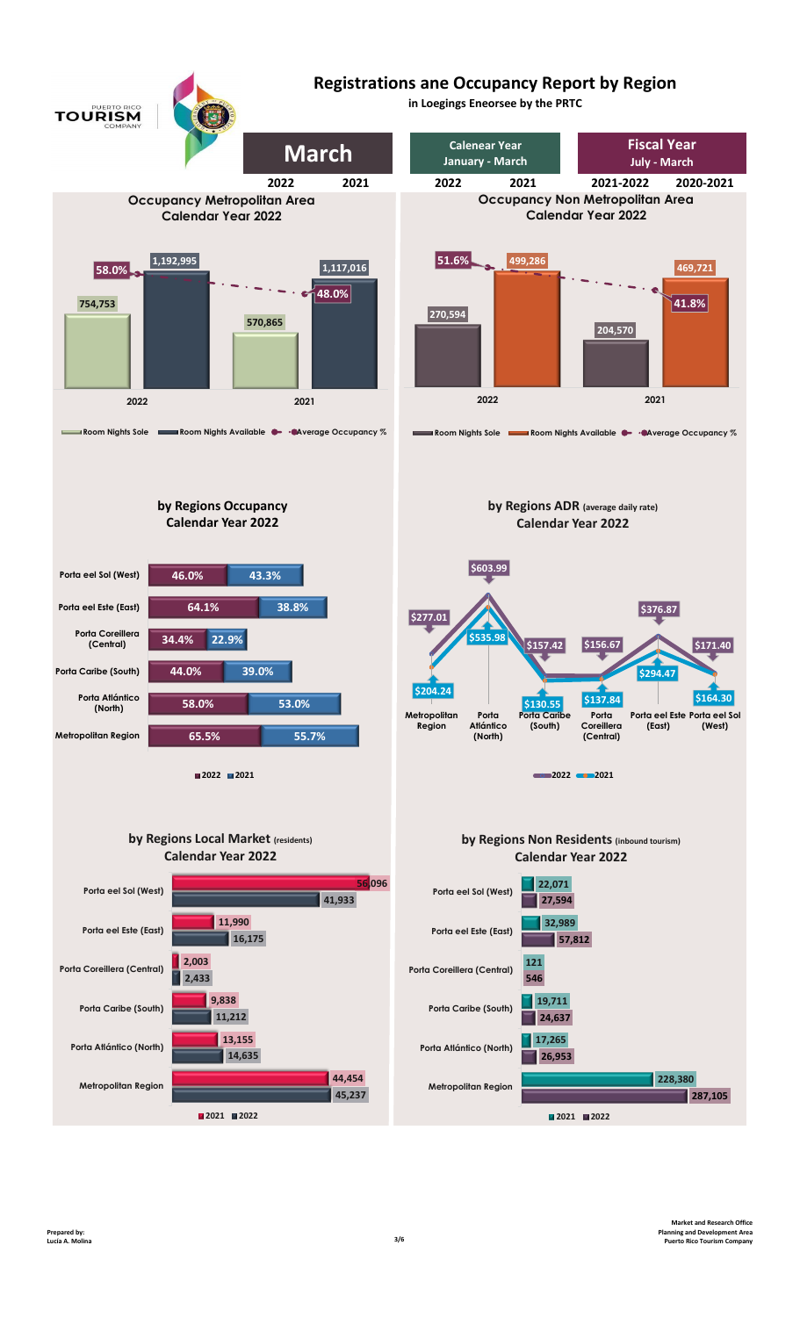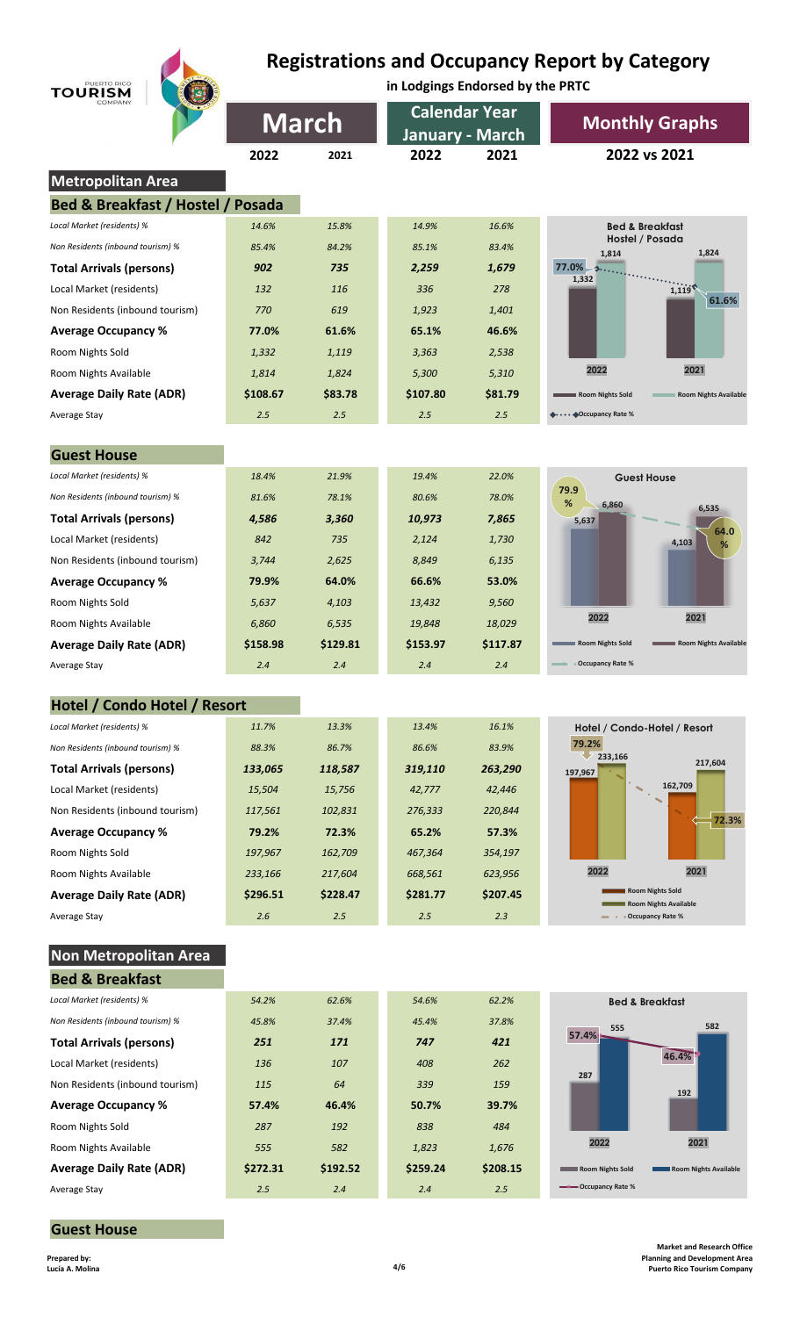# **Registrations and Occupancy Report by Category**

|                                   | <b>Registrations and Occupancy Report by Category</b> |                                  |          |                      |                                                  |  |  |  |
|-----------------------------------|-------------------------------------------------------|----------------------------------|----------|----------------------|--------------------------------------------------|--|--|--|
| PUERTO RICO<br><b>TOURISM</b>     |                                                       | in Lodgings Endorsed by the PRTC |          |                      |                                                  |  |  |  |
|                                   |                                                       |                                  |          | <b>Calendar Year</b> |                                                  |  |  |  |
|                                   |                                                       | <b>March</b>                     |          | January - March      | <b>Monthly Graphs</b>                            |  |  |  |
|                                   | 2022                                                  | 2021                             | 2022     | 2021                 | 2022 vs 2021                                     |  |  |  |
| Metropolitan Area                 |                                                       |                                  |          |                      |                                                  |  |  |  |
| Bed & Breakfast / Hostel / Posada |                                                       |                                  |          |                      |                                                  |  |  |  |
| Local Market (residents) %        | 14.6%                                                 | 15.8%                            | 14.9%    | 16.6%                | <b>Bed &amp; Breakfast</b>                       |  |  |  |
| Non Residents (inbound tourism) % | 85.4%                                                 | 84.2%                            | 85.1%    | 83.4%                | Hostel / Posada                                  |  |  |  |
| <b>Total Arrivals (persons)</b>   | 902                                                   | 735                              | 2,259    | 1,679                | 1,824<br>1,814<br>77.0%                          |  |  |  |
| Local Market (residents)          | 132                                                   | 116                              | 336      | 278                  | .<br>1,332<br>1,119                              |  |  |  |
| Non Residents (inbound tourism)   | 770                                                   | 619                              | 1,923    | 1,401                | 61.6%                                            |  |  |  |
| <b>Average Occupancy %</b>        | 77.0%                                                 | 61.6%                            | 65.1%    | 46.6%                |                                                  |  |  |  |
| Room Nights Sold                  | 1,332                                                 | 1,119                            | 3,363    | 2,538                |                                                  |  |  |  |
| Room Nights Available             | 1,814                                                 | 1,824                            | 5,300    | 5,310                | 2022<br>2021                                     |  |  |  |
| <b>Average Daily Rate (ADR)</b>   | \$108.67                                              | \$83.78                          | \$107.80 | \$81.79              | Room Nights Sold<br><b>Room Nights Available</b> |  |  |  |
| Average Stay                      | 2.5                                                   | 2.5                              | 2.5      | 2.5                  | ••• ◆Occupancy Rate %                            |  |  |  |
|                                   |                                                       |                                  |          |                      |                                                  |  |  |  |
| <b>Guest House</b>                |                                                       |                                  |          |                      |                                                  |  |  |  |
| Local Market (residents) %        | 18.4%                                                 | 21.9%                            | 19.4%    | 22.0%                | <b>Guest House</b>                               |  |  |  |
| Non Residents (inbound tourism) % | 81.6%                                                 | 78.1%                            | 80.6%    | 78.0%                | 79.9<br>%<br>6,860                               |  |  |  |
| <b>Total Arrivals (persons)</b>   | 4,586                                                 | 3,360                            | 10,973   | 7,865                | 6,535<br>5,637                                   |  |  |  |
| Local Market (residents)          | 842                                                   | 735                              | 2,124    | 1,730                | 64.0<br>4,103<br>%                               |  |  |  |
| Non Residents (inbound tourism)   | 3,744                                                 | 2,625                            | 8,849    | 6,135                |                                                  |  |  |  |
| <b>Average Occupancy %</b>        | 79.9%                                                 | 64.0%                            | 66.6%    | 53.0%                |                                                  |  |  |  |
| Room Nights Sold                  | 5,637                                                 | 4,103                            | 13,432   | 9,560                |                                                  |  |  |  |
| Room Nights Available             | 6,860                                                 | 6,535                            | 19,848   | 18,029               | 2022<br>2021                                     |  |  |  |
| <b>Average Daily Rate (ADR)</b>   | \$158.98                                              | \$129.81                         | \$153.97 | \$117.87             | Room Nights Sold<br>Room Nights Available        |  |  |  |
| Average Stay                      | 2.4                                                   | 2.4                              | 2.4      | 2.4                  | <b>Occupancy Rate %</b>                          |  |  |  |
|                                   |                                                       |                                  |          |                      |                                                  |  |  |  |
| Hotel / Condo Hotel / Resort      |                                                       |                                  |          |                      |                                                  |  |  |  |
| Local Market (residents) %        | 11.7%                                                 | 13.3%                            | 13.4%    | 16.1%                | Hotel / Condo-Hotel / Resort<br>79.2%            |  |  |  |
| Non Residents (inbound tourism) % | 88.3%                                                 | 86.7%                            | 86.6%    | 83.9%                | 233,166<br>217,604                               |  |  |  |
| <b>Total Arrivals (persons)</b>   | 133,065                                               | 118,587                          | 319,110  | 263,290              | 197,967<br>162,709                               |  |  |  |
| Local Market (residents)          | 15,504                                                | 15,756                           | 42,777   | 42,446               |                                                  |  |  |  |
| Non Residents (inbound tourism)   | 117,561                                               | 102,831                          | 276,333  | 220,844              | 72.3%                                            |  |  |  |
| <b>Average Occupancy %</b>        | 79.2%                                                 | 72.3%                            | 65.2%    | 57.3%                |                                                  |  |  |  |
| Room Nights Sold                  | 197,967                                               | 162,709                          | 467,364  | 354,197              | 2022<br>2021                                     |  |  |  |
| Room Nights Available             | 233,166                                               | 217,604                          | 668,561  | 623,956              | <b>Room Nights Sold</b>                          |  |  |  |
| <b>Average Daily Rate (ADR)</b>   | \$296.51                                              | \$228.47                         | \$281.77 | \$207.45             | Room Nights Available                            |  |  |  |
| Average Stay                      | 2.6                                                   | 2.5                              | 2.5      | 2.3                  | • • Occupancy Rate %                             |  |  |  |
| <b>Non Metropolitan Area</b>      |                                                       |                                  |          |                      |                                                  |  |  |  |
| <b>Bed &amp; Breakfast</b>        |                                                       |                                  |          |                      |                                                  |  |  |  |
| Local Market (residents) %        | 54.2%                                                 | 62.6%                            | 54.6%    | 62.2%                | <b>Bed &amp; Breakfast</b>                       |  |  |  |
| Non Residents (inbound tourism) % | 45.8%                                                 | 37.4%                            | 45.4%    | 37.8%                |                                                  |  |  |  |
| <b>Total Arrivals (persons)</b>   | 251                                                   | 171                              | 747      | 421                  | 582<br>555<br>57.4%                              |  |  |  |
| Local Market (residents)          | 136                                                   | 107                              | 408      | 262                  | 46.4%                                            |  |  |  |
| Non Residents (inbound tourism)   | 115                                                   | 64                               | 339      | 159                  | 287                                              |  |  |  |
| <b>Average Occupancy %</b>        | 57.4%                                                 | 46.4%                            | 50.7%    | 39.7%                | 192                                              |  |  |  |
| Room Nights Sold                  | 287                                                   | 192                              | 838      | 484                  |                                                  |  |  |  |
| Room Nights Available             | 555                                                   | 582                              | 1,823    | 1,676                | 2021<br>2022                                     |  |  |  |
| <b>Average Daily Rate (ADR)</b>   | \$272.31                                              | \$192.52                         | \$259.24 | \$208.15             | <b>Room Nights Sold</b><br>Room Nights Available |  |  |  |
| Average Stay                      | 2.5                                                   | 2.4                              | 2.4      | 2.5                  | Occupancy Rate %                                 |  |  |  |
|                                   |                                                       |                                  |          |                      |                                                  |  |  |  |

**Prepared by: Lucía A. Molina 4/6**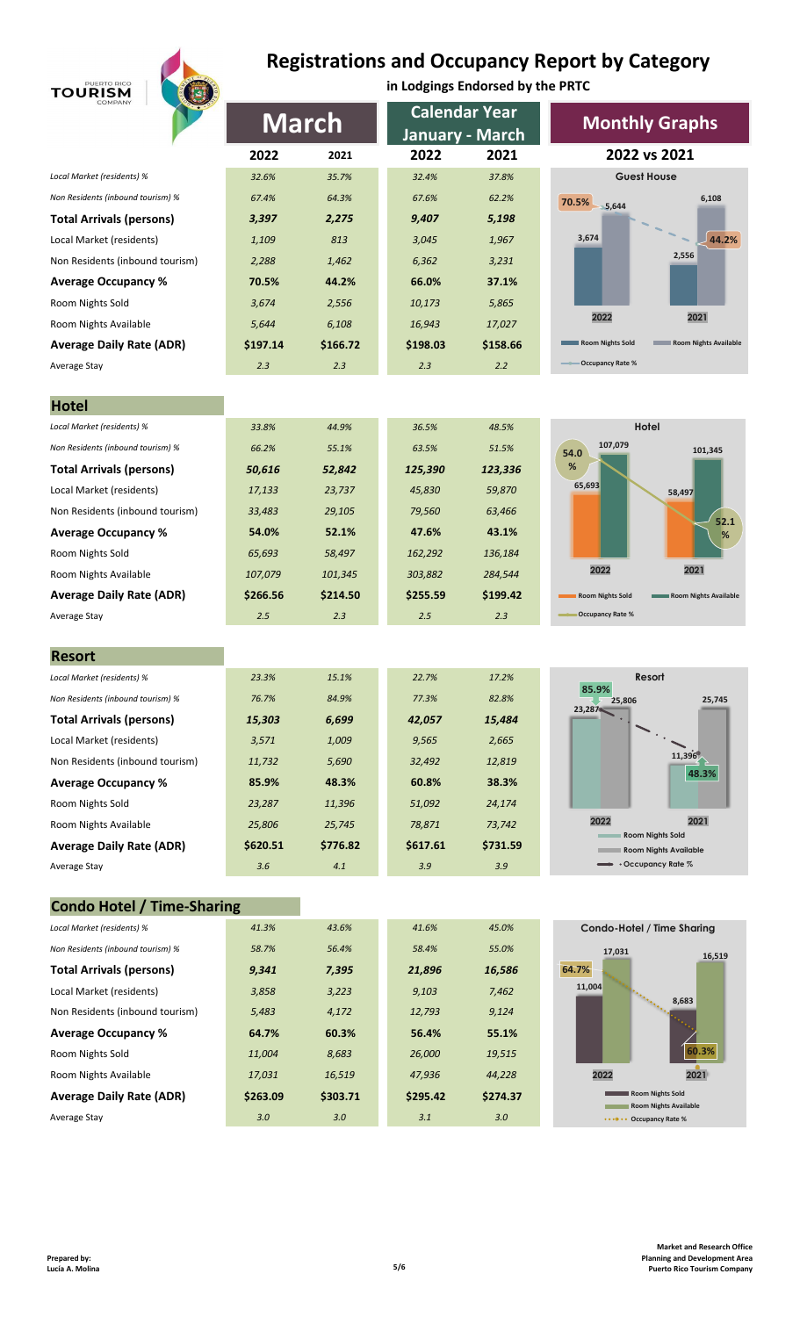

# **Registrations and Occupancy Report by Category**

| PUERTO RICO<br><b>TOURISM</b>                                   | О               |                | in Lodgings Endorsed by the PRTC |                 |                                                  |  |
|-----------------------------------------------------------------|-----------------|----------------|----------------------------------|-----------------|--------------------------------------------------|--|
|                                                                 |                 |                | <b>Calendar Year</b>             |                 |                                                  |  |
|                                                                 | <b>March</b>    |                | January - March                  |                 | <b>Monthly Graphs</b>                            |  |
|                                                                 | 2022            | 2021           | 2022                             | 2021            | 2022 vs 2021                                     |  |
| Local Market (residents) %                                      | 32.6%           | 35.7%          | 32.4%                            | 37.8%           | <b>Guest House</b>                               |  |
| Non Residents (inbound tourism) %                               | 67.4%           | 64.3%          | 67.6%                            | 62.2%           | 6,108<br>70.5%<br>5,644                          |  |
| <b>Total Arrivals (persons)</b>                                 | 3,397           | 2,275          | 9,407                            | 5,198           |                                                  |  |
| Local Market (residents)                                        | 1,109           | 813            | 3,045                            | 1,967           | 3,674<br>44.2%                                   |  |
| Non Residents (inbound tourism)                                 | 2,288           | 1,462          | 6,362                            | 3,231           | 2,556                                            |  |
| <b>Average Occupancy %</b>                                      | 70.5%           | 44.2%          | 66.0%                            | 37.1%           |                                                  |  |
| Room Nights Sold                                                | 3,674           | 2,556          | 10,173                           | 5,865           |                                                  |  |
| Room Nights Available                                           | 5,644           | 6,108          | 16,943                           | 17,027          | 2022<br>2021                                     |  |
| <b>Average Daily Rate (ADR)</b>                                 | \$197.14        | \$166.72       | \$198.03                         | \$158.66        | Room Nights Sold<br>Room Nights Available        |  |
| Average Stay                                                    | 2.3             | 2.3            | 2.3                              | 2.2             | <b>Occupancy Rate %</b>                          |  |
|                                                                 |                 |                |                                  |                 |                                                  |  |
| <b>Hotel</b>                                                    |                 |                |                                  |                 |                                                  |  |
| Local Market (residents) %                                      | 33.8%           | 44.9%          | 36.5%                            | 48.5%           | Hotel                                            |  |
| Non Residents (inbound tourism) %                               | 66.2%           | 55.1%          | 63.5%                            | 51.5%           | 107,079<br>101,345<br>54.0                       |  |
| <b>Total Arrivals (persons)</b>                                 | 50,616          | 52,842         | 125,390                          | 123,336         | %                                                |  |
| Local Market (residents)                                        | 17,133          | 23,737         | 45,830                           | 59,870          | 65,693<br>58,497                                 |  |
| Non Residents (inbound tourism)                                 | 33,483          | 29,105         | 79,560                           | 63,466          | 52.1                                             |  |
| <b>Average Occupancy %</b>                                      | 54.0%           | 52.1%          | 47.6%                            | 43.1%           | %                                                |  |
| Room Nights Sold                                                | 65,693          | 58,497         | 162,292                          | 136,184         |                                                  |  |
| Room Nights Available                                           | 107,079         | 101,345        | 303,882                          | 284,544         | 2022<br>2021                                     |  |
| <b>Average Daily Rate (ADR)</b>                                 | \$266.56        | \$214.50       | \$255.59                         | \$199.42        | Room Nights Sold<br>Room Nights Available        |  |
| Average Stay                                                    | 2.5             | 2.3            | 2.5                              | 2.3             | <b>Occupancy Rate %</b>                          |  |
|                                                                 |                 |                |                                  |                 |                                                  |  |
| <b>Resort</b>                                                   |                 | 15.1%          | 22.7%                            |                 | Resort                                           |  |
| Local Market (residents) %<br>Non Residents (inbound tourism) % | 23.3%           |                |                                  | 17.2%           | 85.9%                                            |  |
|                                                                 | 76.7%           | 84.9%          | 77.3%                            | 82.8%           | 25,745<br>25,806<br>23,287                       |  |
| <b>Total Arrivals (persons)</b>                                 | 15,303          | 6,699          | 42,057                           | 15,484          |                                                  |  |
| Local Market (residents)<br>Non Residents (inbound tourism)     | 3,571           | 1,009<br>5,690 | 9,565<br>32,492                  | 2,665<br>12,819 | 11,396                                           |  |
|                                                                 | 11,732<br>85.9% | 48.3%          | 60.8%                            | 38.3%           | 48.3%                                            |  |
| <b>Average Occupancy %</b><br>Room Nights Sold                  | 23,287          | 11,396         | 51,092                           | 24,174          |                                                  |  |
| Room Nights Available                                           | 25,806          | 25,745         | 78,871                           | 73,742          | 2022<br>2021                                     |  |
| <b>Average Daily Rate (ADR)</b>                                 | \$620.51        | \$776.82       | \$617.61                         | \$731.59        | <b>Room Nights Sold</b>                          |  |
| Average Stay                                                    | 3.6             | 4.1            | 3.9                              | 3.9             | <b>Room Nights Available</b><br>Occupancy Rate % |  |
|                                                                 |                 |                |                                  |                 |                                                  |  |
| <b>Condo Hotel / Time-Sharing</b>                               |                 |                |                                  |                 |                                                  |  |
| Local Market (residents) %                                      | 41.3%           | 43.6%          | 41.6%                            | 45.0%           | Condo-Hotel / Time Sharing                       |  |
| Non Residents (inbound tourism) %                               | 58.7%           | 56.4%          | 58.4%                            | 55.0%           | 17,031                                           |  |
| <b>Total Arrivals (persons)</b>                                 | 9,341           | 7,395          | 21,896                           | 16,586          | 16,519<br>64.7%                                  |  |
| Local Market (residents)                                        | 3,858           | 3,223          | 9,103                            | 7,462           | 11,004                                           |  |
| Non Residents (inbound tourism)                                 | 5,483           | 4,172          | 12,793                           | 9,124           | 8,683                                            |  |
| <b>Average Occupancy %</b>                                      | 64.7%           | 60.3%          | 56.4%                            | 55.1%           |                                                  |  |
| Room Nights Sold                                                | 11,004          | 8,683          | 26,000                           | 19,515          | 60.3%                                            |  |
| Room Nights Available                                           | 17,031          | 16,519         | 47,936                           | 44,228          | 2021<br>2022                                     |  |
| <b>Average Daily Rate (ADR)</b>                                 | \$263.09        | \$303.71       | \$295.42                         | \$274.37        | <b>Room Nights Sold</b>                          |  |
|                                                                 |                 |                |                                  |                 | <b>Room Nights Available</b>                     |  |
| Average Stay                                                    | 3.0             | 3.0            | 3.1                              | 3.0             | •••••• Occupancy Rate %                          |  |